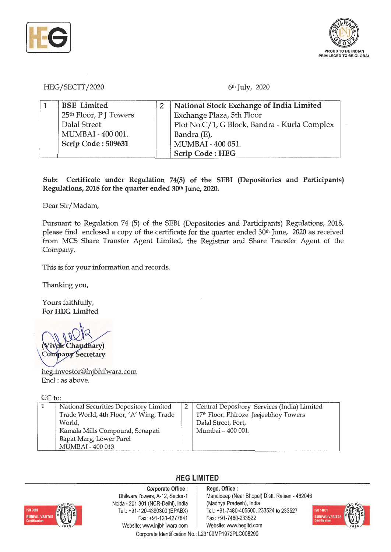



HEG/SECTT/2020 6<sup>th</sup> July, 2020

| <b>BSE</b> Limited     | National Stock Exchange of India Limited     |
|------------------------|----------------------------------------------|
| 25th Floor, P J Towers | Exchange Plaza, 5th Floor                    |
| Dalal Street           | Plot No.C/1, G Block, Bandra - Kurla Complex |
| MUMBAI - 400 001.      | Bandra (E),                                  |
| Scrip Code: 509631     | MUMBAI - 400 051.                            |
|                        | <b>Scrip Code: HEG</b>                       |

**Sub: Certificate under Regulation** 74(5) **of the SEBI (Depositories and Participants) Regulations, 2018 for the quarter ended** 30th **June, 2020.** 

Dear Sir/Madam,

Pursuant to Regulation 74 (5) of the SEBI (Depositories and Participants) Regulations, 2018, please find enclosed a copy of the certificate for the quarter ended 30<sup>th</sup> June, 2020 as received from MCS Share Transfer Agent Limited, the Registrar and Share Transfer Agent of the Company.

This is for your information and records.

Thanking you,

Yours faithfully, For **HEG Limited** 

Chaudhary) **Company Secretary** 

heg.investor@lnjbhilwara.com Encl : as above.

CC to:

| National Securities Depository Limited<br>Trade World, 4th Floor, 'A' Wing, Trade | 2   Central Depository Services (India) Limited<br>17th Floor, Phiroze Jeejeebhoy Towers |
|-----------------------------------------------------------------------------------|------------------------------------------------------------------------------------------|
| World,                                                                            | Dalal Street, Fort,                                                                      |
| Kamala Mills Compound, Senapati                                                   | Mumbai - 400 001.                                                                        |
| Bapat Marg, Lower Parel                                                           |                                                                                          |
| MUMBAI - 400 013                                                                  |                                                                                          |

## **HEG LIMITED**



**Corporate Office** : Bhilwara Towers, A-12, Sector-1 Naida - 201 301 (NCR-Delhi), India Tel.: +91-120-4390300 (EPABX) Fax: +91 -120-4277841 Website: www.lnjbhilwara.com | Website: www.hegltd.com

## **Regd. Office** : Mandideep (Near Bhopal) Distt. Raisen - 462046 (Madhya Pradesh), India Tel.: +91 -7480-405500, 233524 to 233527 Fax: +91-7480-233522



Corporate Identification No.: L23109MP1972PLC008290